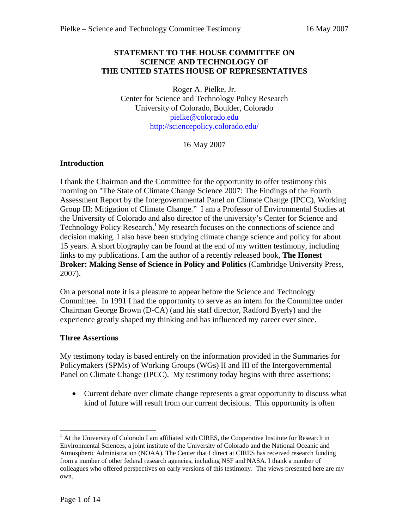### **STATEMENT TO THE HOUSE COMMITTEE ON SCIENCE AND TECHNOLOGY OF THE UNITED STATES HOUSE OF REPRESENTATIVES**

Roger A. Pielke, Jr. Center for Science and Technology Policy Research University of Colorado, Boulder, Colorado pielke@colorado.edu http://sciencepolicy.colorado.edu/

16 May 2007

# **Introduction**

I thank the Chairman and the Committee for the opportunity to offer testimony this morning on "The State of Climate Change Science 2007: The Findings of the Fourth Assessment Report by the Intergovernmental Panel on Climate Change (IPCC), Working Group III: Mitigation of Climate Change." I am a Professor of Environmental Studies at the University of Colorado and also director of the university's Center for Science and Technology Policy Research.<sup>1</sup> My research focuses on the connections of science and decision making. I also have been studying climate change science and policy for about 15 years. A short biography can be found at the end of my written testimony, including links to my publications. I am the author of a recently released book, **The Honest Broker: Making Sense of Science in Policy and Politics** (Cambridge University Press, 2007).

On a personal note it is a pleasure to appear before the Science and Technology Committee. In 1991 I had the opportunity to serve as an intern for the Committee under Chairman George Brown (D-CA) (and his staff director, Radford Byerly) and the experience greatly shaped my thinking and has influenced my career ever since.

### **Three Assertions**

My testimony today is based entirely on the information provided in the Summaries for Policymakers (SPMs) of Working Groups (WGs) II and III of the Intergovernmental Panel on Climate Change (IPCC). My testimony today begins with three assertions:

• Current debate over climate change represents a great opportunity to discuss what kind of future will result from our current decisions. This opportunity is often

<sup>&</sup>lt;sup>1</sup> At the University of Colorado I am affiliated with CIRES, the Cooperative Institute for Research in Environmental Sciences, a joint institute of the University of Colorado and the National Oceanic and Atmospheric Administration (NOAA). The Center that I direct at CIRES has received research funding from a number of other federal research agencies, including NSF and NASA. I thank a number of colleagues who offered perspectives on early versions of this testimony. The views presented here are my own.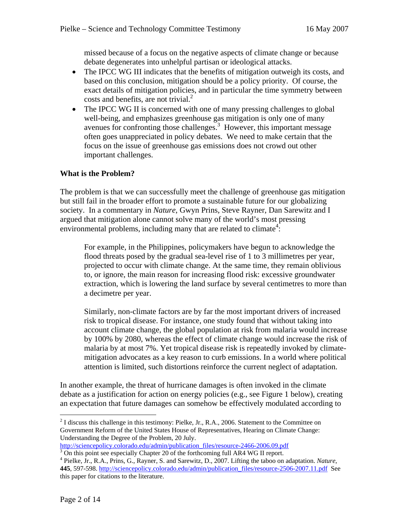missed because of a focus on the negative aspects of climate change or because debate degenerates into unhelpful partisan or ideological attacks.

- The IPCC WG III indicates that the benefits of mitigation outweigh its costs, and based on this conclusion, mitigation should be a policy priority. Of course, the exact details of mitigation policies, and in particular the time symmetry between costs and benefits, are not trivial. $<sup>2</sup>$ </sup>
- The IPCC WG II is concerned with one of many pressing challenges to global well-being, and emphasizes greenhouse gas mitigation is only one of many avenues for confronting those challenges.<sup>3</sup> However, this important message often goes unappreciated in policy debates. We need to make certain that the focus on the issue of greenhouse gas emissions does not crowd out other important challenges.

# **What is the Problem?**

The problem is that we can successfully meet the challenge of greenhouse gas mitigation but still fail in the broader effort to promote a sustainable future for our globalizing society. In a commentary in *Nature*, Gwyn Prins, Steve Rayner, Dan Sarewitz and I argued that mitigation alone cannot solve many of the world's most pressing environmental problems, including many that are related to climate<sup>4</sup>:

For example, in the Philippines, policymakers have begun to acknowledge the flood threats posed by the gradual sea-level rise of 1 to 3 millimetres per year, projected to occur with climate change. At the same time, they remain oblivious to, or ignore, the main reason for increasing flood risk: excessive groundwater extraction, which is lowering the land surface by several centimetres to more than a decimetre per year.

Similarly, non-climate factors are by far the most important drivers of increased risk to tropical disease. For instance, one study found that without taking into account climate change, the global population at risk from malaria would increase by 100% by 2080, whereas the effect of climate change would increase the risk of malaria by at most 7%. Yet tropical disease risk is repeatedly invoked by climatemitigation advocates as a key reason to curb emissions. In a world where political attention is limited, such distortions reinforce the current neglect of adaptation.

In another example, the threat of hurricane damages is often invoked in the climate debate as a justification for action on energy policies (e.g., see Figure 1 below), creating an expectation that future damages can somehow be effectively modulated according to

http://sciencepolicy.colorado.edu/admin/publication\_files/resource-2466-2006.09.pdf 3

 $2^{2}$  I discuss this challenge in this testimony: Pielke, Jr., R.A., 2006. Statement to the Committee on Government Reform of the United States House of Representatives, Hearing on Climate Change: Understanding the Degree of the Problem, 20 July.

 $3$  On this point see especially Chapter 20 of the forthcoming full AR4 WG II report.

<sup>&</sup>lt;sup>4</sup> Pielke, Jr., R.A., Prins, G., Rayner, S. and Sarewitz, D., 2007. Lifting the taboo on adaptation. *Nature*, **445**, 597-598. http://sciencepolicy.colorado.edu/admin/publication\_files/resource-2506-2007.11.pdf See this paper for citations to the literature.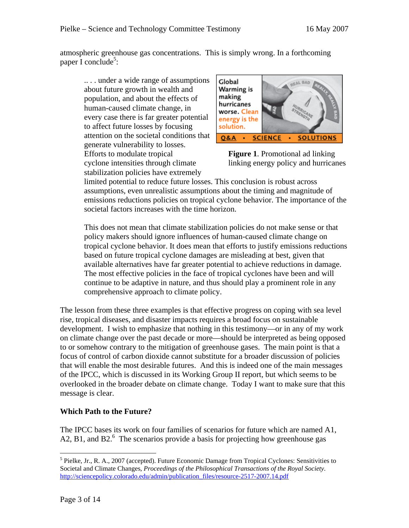atmospheric greenhouse gas concentrations. This is simply wrong. In a forthcoming paper I conclude<sup>5</sup>:

.. . . under a wide range of assumptions about future growth in wealth and population, and about the effects of human-caused climate change, in every case there is far greater potential to affect future losses by focusing attention on the societal conditions that generate vulnerability to losses. Efforts to modulate tropical **Figure 1**. Promotional ad linking cyclone intensities through climate linking energy policy and hurricanes stabilization policies have extremely



limited potential to reduce future losses. This conclusion is robust across assumptions, even unrealistic assumptions about the timing and magnitude of emissions reductions policies on tropical cyclone behavior. The importance of the societal factors increases with the time horizon.

This does not mean that climate stabilization policies do not make sense or that policy makers should ignore influences of human-caused climate change on tropical cyclone behavior. It does mean that efforts to justify emissions reductions based on future tropical cyclone damages are misleading at best, given that available alternatives have far greater potential to achieve reductions in damage. The most effective policies in the face of tropical cyclones have been and will continue to be adaptive in nature, and thus should play a prominent role in any comprehensive approach to climate policy.

The lesson from these three examples is that effective progress on coping with sea level rise, tropical diseases, and disaster impacts requires a broad focus on sustainable development. I wish to emphasize that nothing in this testimony—or in any of my work on climate change over the past decade or more—should be interpreted as being opposed to or somehow contrary to the mitigation of greenhouse gases. The main point is that a focus of control of carbon dioxide cannot substitute for a broader discussion of policies that will enable the most desirable futures. And this is indeed one of the main messages of the IPCC, which is discussed in its Working Group II report, but which seems to be overlooked in the broader debate on climate change. Today I want to make sure that this message is clear.

# **Which Path to the Future?**

The IPCC bases its work on four families of scenarios for future which are named A1, A2, B1, and B2. $<sup>6</sup>$  The scenarios provide a basis for projecting how greenhouse gas</sup>

<sup>1</sup> <sup>5</sup> Pielke, Jr., R. A., 2007 (accepted). Future Economic Damage from Tropical Cyclones: Sensitivities to Societal and Climate Changes*, Proceedings of the Philosophical Transactions of the Royal Society*. http://sciencepolicy.colorado.edu/admin/publication\_files/resource-2517-2007.14.pdf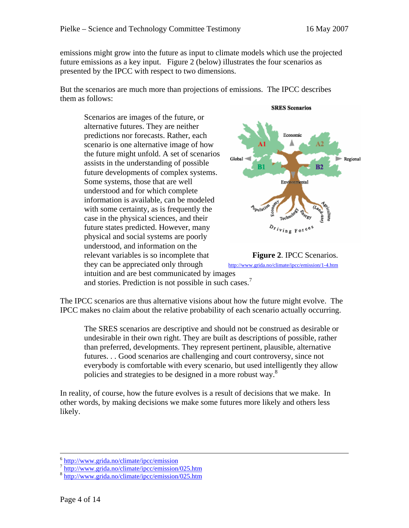emissions might grow into the future as input to climate models which use the projected future emissions as a key input. Figure 2 (below) illustrates the four scenarios as presented by the IPCC with respect to two dimensions.

But the scenarios are much more than projections of emissions. The IPCC describes them as follows:

Scenarios are images of the future, or alternative futures. They are neither predictions nor forecasts. Rather, each scenario is one alternative image of how the future might unfold. A set of scenarios assists in the understanding of possible future developments of complex systems. Some systems, those that are well understood and for which complete information is available, can be modeled with some certainty, as is frequently the case in the physical sciences, and their future states predicted. However, many physical and social systems are poorly understood, and information on the relevant variables is so incomplete that **Figure 2**. IPCC Scenarios. they can be appreciated only through http://www.grida.no/climate/ipcc/emission/1-4.htm intuition and are best communicated by images





and stories. Prediction is not possible in such cases.<sup>7</sup>

The IPCC scenarios are thus alternative visions about how the future might evolve. The IPCC makes no claim about the relative probability of each scenario actually occurring.

The SRES scenarios are descriptive and should not be construed as desirable or undesirable in their own right. They are built as descriptions of possible, rather than preferred, developments. They represent pertinent, plausible, alternative futures. . . Good scenarios are challenging and court controversy, since not everybody is comfortable with every scenario, but used intelligently they allow policies and strategies to be designed in a more robust way.<sup>8</sup>

In reality, of course, how the future evolves is a result of decisions that we make. In other words, by making decisions we make some futures more likely and others less likely.

 $\frac{6 \text{ http://www.grida.no/climate/ipcc/emission}}{\text{http://www.grida.no/climate/ipcc/emission/025.htm}}$ <br>  $\frac{8 \text{ http://www.grida.no/climate/ipcc/emission/025.htm}}{\text{http://www.grida.no/climate/ipcc/emission/025.htm}}$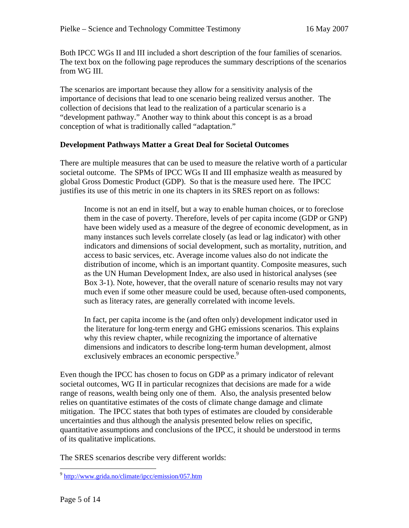Both IPCC WGs II and III included a short description of the four families of scenarios. The text box on the following page reproduces the summary descriptions of the scenarios from WG III.

The scenarios are important because they allow for a sensitivity analysis of the importance of decisions that lead to one scenario being realized versus another. The collection of decisions that lead to the realization of a particular scenario is a "development pathway." Another way to think about this concept is as a broad conception of what is traditionally called "adaptation."

# **Development Pathways Matter a Great Deal for Societal Outcomes**

There are multiple measures that can be used to measure the relative worth of a particular societal outcome. The SPMs of IPCC WGs II and III emphasize wealth as measured by global Gross Domestic Product (GDP). So that is the measure used here. The IPCC justifies its use of this metric in one its chapters in its SRES report on as follows:

Income is not an end in itself, but a way to enable human choices, or to foreclose them in the case of poverty. Therefore, levels of per capita income (GDP or GNP) have been widely used as a measure of the degree of economic development, as in many instances such levels correlate closely (as lead or lag indicator) with other indicators and dimensions of social development, such as mortality, nutrition, and access to basic services, etc. Average income values also do not indicate the distribution of income, which is an important quantity. Composite measures, such as the UN Human Development Index, are also used in historical analyses (see Box 3-1). Note, however, that the overall nature of scenario results may not vary much even if some other measure could be used, because often-used components, such as literacy rates, are generally correlated with income levels.

In fact, per capita income is the (and often only) development indicator used in the literature for long-term energy and GHG emissions scenarios. This explains why this review chapter, while recognizing the importance of alternative dimensions and indicators to describe long-term human development, almost exclusively embraces an economic perspective.<sup>9</sup>

Even though the IPCC has chosen to focus on GDP as a primary indicator of relevant societal outcomes, WG II in particular recognizes that decisions are made for a wide range of reasons, wealth being only one of them. Also, the analysis presented below relies on quantitative estimates of the costs of climate change damage and climate mitigation. The IPCC states that both types of estimates are clouded by considerable uncertainties and thus although the analysis presented below relies on specific, quantitative assumptions and conclusions of the IPCC, it should be understood in terms of its qualitative implications.

The SRES scenarios describe very different worlds:

<sup>&</sup>lt;sup>9</sup> http://www.grida.no/climate/ipcc/emission/057.htm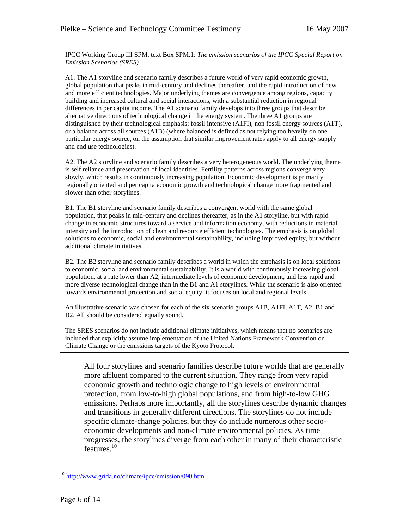IPCC Working Group III SPM, text Box SPM.1: *The emission scenarios of the IPCC Special Report on Emission Scenarios (SRES)* 

A1. The A1 storyline and scenario family describes a future world of very rapid economic growth, global population that peaks in mid-century and declines thereafter, and the rapid introduction of new and more efficient technologies. Major underlying themes are convergence among regions, capacity building and increased cultural and social interactions, with a substantial reduction in regional differences in per capita income. The A1 scenario family develops into three groups that describe alternative directions of technological change in the energy system. The three A1 groups are distinguished by their technological emphasis: fossil intensive (A1FI), non fossil energy sources (A1T), or a balance across all sources (A1B) (where balanced is defined as not relying too heavily on one particular energy source, on the assumption that similar improvement rates apply to all energy supply and end use technologies).

A2. The A2 storyline and scenario family describes a very heterogeneous world. The underlying theme is self reliance and preservation of local identities. Fertility patterns across regions converge very slowly, which results in continuously increasing population. Economic development is primarily regionally oriented and per capita economic growth and technological change more fragmented and slower than other storylines.

B1. The B1 storyline and scenario family describes a convergent world with the same global population, that peaks in mid-century and declines thereafter, as in the A1 storyline, but with rapid change in economic structures toward a service and information economy, with reductions in material intensity and the introduction of clean and resource efficient technologies. The emphasis is on global solutions to economic, social and environmental sustainability, including improved equity, but without additional climate initiatives.

B2. The B2 storyline and scenario family describes a world in which the emphasis is on local solutions to economic, social and environmental sustainability. It is a world with continuously increasing global population, at a rate lower than A2, intermediate levels of economic development, and less rapid and more diverse technological change than in the B1 and A1 storylines. While the scenario is also oriented towards environmental protection and social equity, it focuses on local and regional levels.

An illustrative scenario was chosen for each of the six scenario groups A1B, A1FI, A1T, A2, B1 and B2. All should be considered equally sound.

The SRES scenarios do not include additional climate initiatives, which means that no scenarios are included that explicitly assume implementation of the United Nations Framework Convention on Climate Change or the emissions targets of the Kyoto Protocol.

All four storylines and scenario families describe future worlds that are generally more affluent compared to the current situation. They range from very rapid economic growth and technologic change to high levels of environmental protection, from low-to-high global populations, and from high-to-low GHG emissions. Perhaps more importantly, all the storylines describe dynamic changes and transitions in generally different directions. The storylines do not include specific climate-change policies, but they do include numerous other socioeconomic developments and non-climate environmental policies. As time progresses, the storylines diverge from each other in many of their characteristic features.<sup>10</sup>

<sup>10</sup> http://www.grida.no/climate/ipcc/emission/090.htm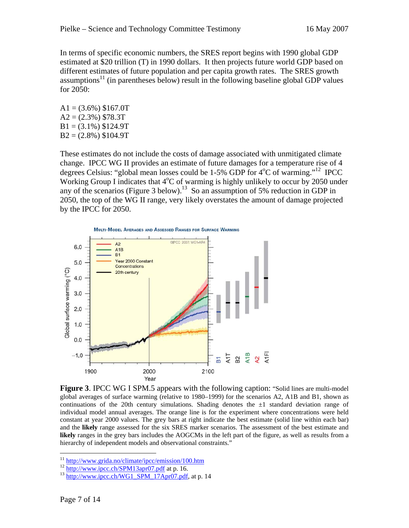In terms of specific economic numbers, the SRES report begins with 1990 global GDP estimated at \$20 trillion (T) in 1990 dollars. It then projects future world GDP based on different estimates of future population and per capita growth rates. The SRES growth assumptions<sup>11</sup> (in parentheses below) result in the following baseline global GDP values for 2050:

 $A1 = (3.6\%)$  \$167.0T  $A2 = (2.3\%)$  \$78.3T  $B1 = (3.1\%)$  \$124.9T  $B2 = (2.8\%)$  \$104.9T

These estimates do not include the costs of damage associated with unmitigated climate change. IPCC WG II provides an estimate of future damages for a temperature rise of 4 degrees Celsius: "global mean losses could be  $1-5\%$  GDP for  $4^{\circ}$ C of warming."<sup>12</sup> IPCC Working Group I indicates that  $4^{\circ}$ C of warming is highly unlikely to occur by 2050 under any of the scenarios (Figure 3 below).<sup>13</sup> So an assumption of 5% reduction in GDP in 2050, the top of the WG II range, very likely overstates the amount of damage projected by the IPCC for 2050.



**Figure 3. IPCC WG I SPM.5 appears with the following caption: "Solid lines are multi-model** global averages of surface warming (relative to 1980–1999) for the scenarios A2, A1B and B1, shown as continuations of the 20th century simulations. Shading denotes the  $\pm 1$  standard deviation range of individual model annual averages. The orange line is for the experiment where concentrations were held constant at year 2000 values. The grey bars at right indicate the best estimate (solid line within each bar) and the **likely** range assessed for the six SRES marker scenarios. The assessment of the best estimate and **likely** ranges in the grey bars includes the AOGCMs in the left part of the figure, as well as results from a hierarchy of independent models and observational constraints."

<sup>&</sup>lt;sup>11</sup> http://www.grida.no/climate/ipcc/emission/100.htm<br>
<sup>12</sup> http://www.ipcc.ch/SPM13apr07.pdf at p. 16.<br>
<sup>13</sup> http://www.ipcc.ch/WG1\_SPM\_17Apr07.pdf, at p. 14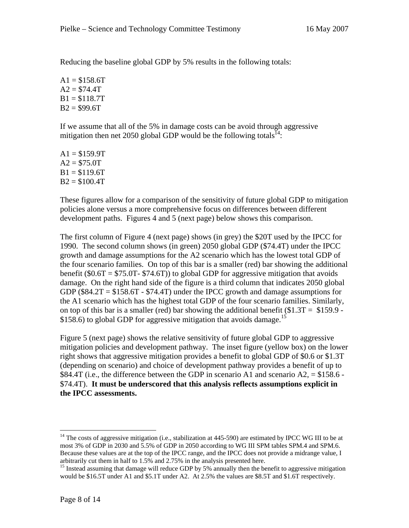Reducing the baseline global GDP by 5% results in the following totals:

 $A1 = $158.6T$  $A2 = $74.4T$  $B1 = $118.7T$  $B2 = $99.6T$ 

If we assume that all of the 5% in damage costs can be avoid through aggressive mitigation then net 2050 global GDP would be the following totals<sup>14</sup>:

 $A1 = $159.9T$  $A2 = $75.0T$  $B1 = $119.6T$  $B2 = $100.4T$ 

These figures allow for a comparison of the sensitivity of future global GDP to mitigation policies alone versus a more comprehensive focus on differences between different development paths. Figures 4 and 5 (next page) below shows this comparison.

The first column of Figure 4 (next page) shows (in grey) the \$20T used by the IPCC for 1990. The second column shows (in green) 2050 global GDP (\$74.4T) under the IPCC growth and damage assumptions for the A2 scenario which has the lowest total GDP of the four scenario families. On top of this bar is a smaller (red) bar showing the additional benefit ( $$0.6T = $75.0T - $74.6T$ ) to global GDP for aggressive mitigation that avoids damage. On the right hand side of the figure is a third column that indicates 2050 global GDP ( $$84.2T = $158.6T - $74.4T$ ) under the IPCC growth and damage assumptions for the A1 scenario which has the highest total GDP of the four scenario families. Similarly, on top of this bar is a smaller (red) bar showing the additional benefit  $(\$1.3T = \$159.9 -$ \$158.6) to global GDP for aggressive mitigation that avoids damage.<sup>15</sup>

Figure 5 (next page) shows the relative sensitivity of future global GDP to aggressive mitigation policies and development pathway. The inset figure (yellow box) on the lower right shows that aggressive mitigation provides a benefit to global GDP of \$0.6 or \$1.3T (depending on scenario) and choice of development pathway provides a benefit of up to \$84.4T (i.e., the difference between the GDP in scenario A1 and scenario A2,  $=$  \$158.6 -\$74.4T). **It must be underscored that this analysis reflects assumptions explicit in the IPCC assessments.**

<sup>&</sup>lt;sup>14</sup> The costs of aggressive mitigation (i.e., stabilization at 445-590) are estimated by IPCC WG III to be at most 3% of GDP in 2030 and 5.5% of GDP in 2050 according to WG III SPM tables SPM.4 and SPM.6. Because these values are at the top of the IPCC range, and the IPCC does not provide a midrange value, I arbitrarily cut them in half to 1.5% and 2.75% in the analysis presented here.

<sup>&</sup>lt;sup>15</sup> Instead assuming that damage will reduce GDP by 5% annually then the benefit to aggressive mitigation would be \$16.5T under A1 and \$5.1T under A2. At 2.5% the values are \$8.5T and \$1.6T respectively.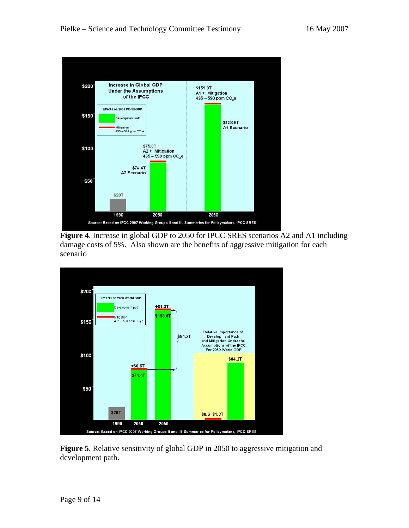

**Figure 4**. Increase in global GDP to 2050 for IPCC SRES scenarios A2 and A1 including damage costs of 5%. Also shown are the benefits of aggressive mitigation for each scenario



**Figure 5**. Relative sensitivity of global GDP in 2050 to aggressive mitigation and development path.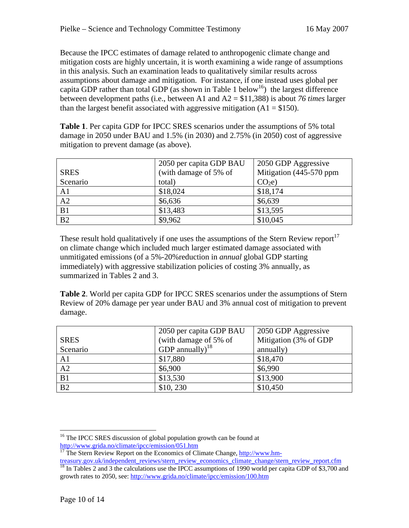Because the IPCC estimates of damage related to anthropogenic climate change and mitigation costs are highly uncertain, it is worth examining a wide range of assumptions in this analysis. Such an examination leads to qualitatively similar results across assumptions about damage and mitigation. For instance, if one instead uses global per capita GDP rather than total GDP (as shown in Table 1 below<sup>16</sup>) the largest difference between development paths (i.e., between A1 and A2 = \$11,388) is about *76 times* larger than the largest benefit associated with aggressive mitigation  $(A1 = $150)$ .

**Table 1**. Per capita GDP for IPCC SRES scenarios under the assumptions of 5% total damage in 2050 under BAU and 1.5% (in 2030) and 2.75% (in 2050) cost of aggressive mitigation to prevent damage (as above).

|                 | 2050 per capita GDP BAU | 2050 GDP Aggressive      |
|-----------------|-------------------------|--------------------------|
| <b>SRES</b>     | (with damage of 5% of   | Mitigation (445-570 ppm) |
| Scenario        | total)                  | CO <sub>2</sub> e        |
| A <sub>1</sub>  | \$18,024                | \$18,174                 |
| A2              | \$6,636                 | \$6,639                  |
| B1              | \$13,483                | \$13,595                 |
| $\overline{B2}$ | \$9,962                 | \$10,045                 |

These result hold qualitatively if one uses the assumptions of the Stern Review report<sup>17</sup> on climate change which included much larger estimated damage associated with unmitigated emissions (of a 5%-20%reduction in *annual* global GDP starting immediately) with aggressive stabilization policies of costing 3% annually, as summarized in Tables 2 and 3.

**Table 2**. World per capita GDP for IPCC SRES scenarios under the assumptions of Stern Review of 20% damage per year under BAU and 3% annual cost of mitigation to prevent damage.

|                | 2050 per capita GDP BAU | 2050 GDP Aggressive   |
|----------------|-------------------------|-----------------------|
| <b>SRES</b>    | (with damage of 5% of   | Mitigation (3% of GDP |
| Scenario       | GDP annually) $^{18}$   | annually)             |
| A <sub>1</sub> | \$17,880                | \$18,470              |
| A2             | \$6,900                 | \$6,990               |
| B1             | \$13,530                | \$13,900              |
| B2             | \$10, 230               | \$10,450              |

 $\overline{a}$ <sup>16</sup> The IPCC SRES discussion of global population growth can be found at

http://www.grida.no/climate/ipcc/emission/051.htm<br><sup>17</sup> The Stern Review Report on the Economics of Climate Change, http://www.hm-

treasury.gov.uk/independent\_reviews/stern\_review\_economics\_climate\_change/stern\_review\_report.cfm <sup>18</sup> In Tables 2 and 3 the calculations use the IPCC assumptions of 1990 world per capita GDP of \$3,700 and growth rates to 2050, see: http://www.grida.no/climate/ipcc/emission/100.htm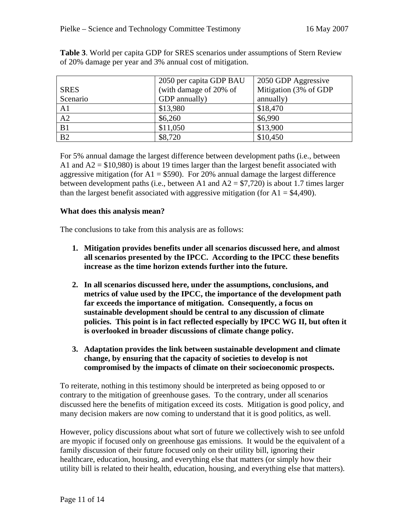|                 | 2050 per capita GDP BAU | 2050 GDP Aggressive   |
|-----------------|-------------------------|-----------------------|
| <b>SRES</b>     | (with damage of 20% of  | Mitigation (3% of GDP |
| Scenario        | GDP annually)           | annually)             |
| A <sub>1</sub>  | \$13,980                | \$18,470              |
| A2              | \$6,260                 | \$6,990               |
| B1              | \$11,050                | \$13,900              |
| $\overline{B2}$ | \$8,720                 | \$10,450              |

**Table 3**. World per capita GDP for SRES scenarios under assumptions of Stern Review of 20% damage per year and 3% annual cost of mitigation.

For 5% annual damage the largest difference between development paths (i.e., between A1 and  $A2 = $10,980$  is about 19 times larger than the largest benefit associated with aggressive mitigation (for  $A1 = $590$ ). For 20% annual damage the largest difference between development paths (i.e., between A1 and  $A2 = $7,720$ ) is about 1.7 times larger than the largest benefit associated with aggressive mitigation (for  $A1 = $4,490$ ).

### **What does this analysis mean?**

The conclusions to take from this analysis are as follows:

- **1. Mitigation provides benefits under all scenarios discussed here, and almost all scenarios presented by the IPCC. According to the IPCC these benefits increase as the time horizon extends further into the future.**
- **2. In all scenarios discussed here, under the assumptions, conclusions, and metrics of value used by the IPCC, the importance of the development path far exceeds the importance of mitigation. Consequently, a focus on sustainable development should be central to any discussion of climate policies. This point is in fact reflected especially by IPCC WG II, but often it is overlooked in broader discussions of climate change policy.**
- **3. Adaptation provides the link between sustainable development and climate change, by ensuring that the capacity of societies to develop is not compromised by the impacts of climate on their socioeconomic prospects.**

To reiterate, nothing in this testimony should be interpreted as being opposed to or contrary to the mitigation of greenhouse gases. To the contrary, under all scenarios discussed here the benefits of mitigation exceed its costs. Mitigation is good policy, and many decision makers are now coming to understand that it is good politics, as well.

However, policy discussions about what sort of future we collectively wish to see unfold are myopic if focused only on greenhouse gas emissions. It would be the equivalent of a family discussion of their future focused only on their utility bill, ignoring their healthcare, education, housing, and everything else that matters (or simply how their utility bill is related to their health, education, housing, and everything else that matters).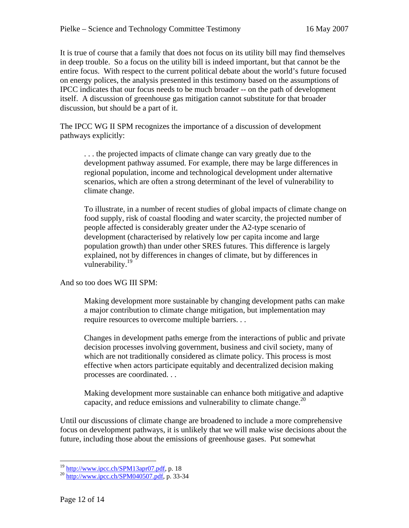It is true of course that a family that does not focus on its utility bill may find themselves in deep trouble. So a focus on the utility bill is indeed important, but that cannot be the entire focus. With respect to the current political debate about the world's future focused on energy polices, the analysis presented in this testimony based on the assumptions of IPCC indicates that our focus needs to be much broader -- on the path of development itself. A discussion of greenhouse gas mitigation cannot substitute for that broader discussion, but should be a part of it.

The IPCC WG II SPM recognizes the importance of a discussion of development pathways explicitly:

. . . the projected impacts of climate change can vary greatly due to the development pathway assumed. For example, there may be large differences in regional population, income and technological development under alternative scenarios, which are often a strong determinant of the level of vulnerability to climate change.

To illustrate, in a number of recent studies of global impacts of climate change on food supply, risk of coastal flooding and water scarcity, the projected number of people affected is considerably greater under the A2-type scenario of development (characterised by relatively low per capita income and large population growth) than under other SRES futures. This difference is largely explained, not by differences in changes of climate, but by differences in vulnerability.<sup>19</sup>

And so too does WG III SPM:

Making development more sustainable by changing development paths can make a major contribution to climate change mitigation, but implementation may require resources to overcome multiple barriers. . .

Changes in development paths emerge from the interactions of public and private decision processes involving government, business and civil society, many of which are not traditionally considered as climate policy. This process is most effective when actors participate equitably and decentralized decision making processes are coordinated. . .

Making development more sustainable can enhance both mitigative and adaptive capacity, and reduce emissions and vulnerability to climate change.<sup>20</sup>

Until our discussions of climate change are broadened to include a more comprehensive focus on development pathways, it is unlikely that we will make wise decisions about the future, including those about the emissions of greenhouse gases. Put somewhat

<sup>&</sup>lt;sup>19</sup> http://www.ipcc.ch/SPM13apr07.pdf, p. 18<br><sup>20</sup> http://www.ipcc.ch/SPM040507.pdf, p. 33-34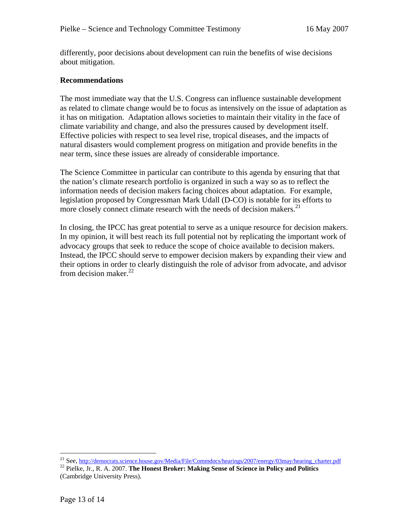differently, poor decisions about development can ruin the benefits of wise decisions about mitigation.

### **Recommendations**

The most immediate way that the U.S. Congress can influence sustainable development as related to climate change would be to focus as intensively on the issue of adaptation as it has on mitigation. Adaptation allows societies to maintain their vitality in the face of climate variability and change, and also the pressures caused by development itself. Effective policies with respect to sea level rise, tropical diseases, and the impacts of natural disasters would complement progress on mitigation and provide benefits in the near term, since these issues are already of considerable importance.

The Science Committee in particular can contribute to this agenda by ensuring that that the nation's climate research portfolio is organized in such a way so as to reflect the information needs of decision makers facing choices about adaptation. For example, legislation proposed by Congressman Mark Udall (D-CO) is notable for its efforts to more closely connect climate research with the needs of decision makers.<sup>21</sup>

In closing, the IPCC has great potential to serve as a unique resource for decision makers. In my opinion, it will best reach its full potential not by replicating the important work of advocacy groups that seek to reduce the scope of choice available to decision makers. Instead, the IPCC should serve to empower decision makers by expanding their view and their options in order to clearly distinguish the role of advisor from advocate, and advisor from decision maker. $22$ 

<sup>&</sup>lt;sup>21</sup> See, http://democrats.science.house.gov/Media/File/Commdocs/hearings/2007/energy/03may/hearing\_charter.pdf

<sup>&</sup>lt;sup>22</sup> Pielke, Jr., R. A. 2007. The Honest Broker: Making Sense of Science in Policy and Politics (Cambridge University Press).